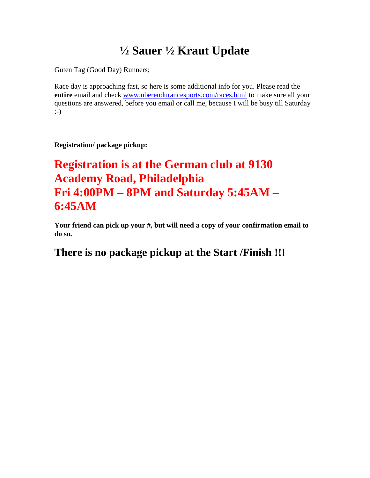# **½ Sauer ½ Kraut Update**

Guten Tag (Good Day) Runners;

Race day is approaching fast, so here is some additional info for you. Please read the **entire** email and check [www.uberendurancesports.com/races.html](http://www.uberendurancesports.com/races.html) to make sure all your questions are answered, before you email or call me, because I will be busy till Saturday :-)

## **Registration/ package pickup:**

# **Registration is at the German club at 9130 Academy Road, Philadelphia Fri 4:00PM – 8PM and Saturday 5:45AM – 6:45AM**

**Your friend can pick up your #, but will need a copy of your confirmation email to do so.**

## **There is no package pickup at the Start /Finish !!!**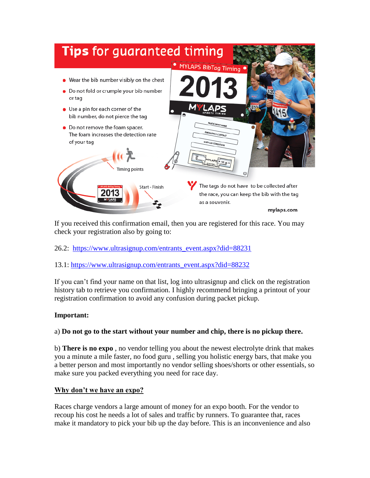

If you received this confirmation email, then you are registered for this race. You may check your registration also by going to:

- 26.2: [https://www.ultrasignup.com/entrants\\_event.aspx?did=88231](https://www.ultrasignup.com/entrants_event.aspx?did=88231)
- 13.1: [https://www.ultrasignup.com/entrants\\_event.aspx?did=88232](https://www.ultrasignup.com/entrants_event.aspx?did=88232)

If you can't find your name on that list, log into ultrasignup and click on the registration history tab to retrieve you confirmation. I highly recommend bringing a printout of your registration confirmation to avoid any confusion during packet pickup.

## **Important:**

#### a) **Do not go to the start without your number and chip, there is no pickup there.**

b) **There is no expo** , no vendor telling you about the newest electrolyte drink that makes you a minute a mile faster, no food guru , selling you holistic energy bars, that make you a better person and most importantly no vendor selling shoes/shorts or other essentials, so make sure you packed everything you need for race day.

## **Why don't we have an expo?**

Races charge vendors a large amount of money for an expo booth. For the vendor to recoup his cost he needs a lot of sales and traffic by runners. To guarantee that, races make it mandatory to pick your bib up the day before. This is an inconvenience and also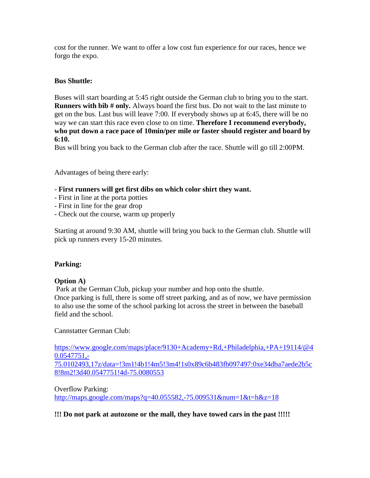cost for the runner. We want to offer a low cost fun experience for our races, hence we forgo the expo.

## **Bus Shuttle:**

Buses will start boarding at 5:45 right outside the German club to bring you to the start. **Runners with bib # only.** Always board the first bus. Do not wait to the last minute to get on the bus. Last bus will leave 7:00. If everybody shows up at 6:45, there will be no way we can start this race even close to on time. **Therefore I recommend everybody, who put down a race pace of 10min/per mile or faster should register and board by 6:10.**

Bus will bring you back to the German club after the race. Shuttle will go till 2:00PM.

Advantages of being there early:

- **First runners will get first dibs on which color shirt they want.**
- First in line at the porta potties
- First in line for the gear drop
- Check out the course, warm up properly

Starting at around 9:30 AM, shuttle will bring you back to the German club. Shuttle will pick up runners every 15-20 minutes.

## **Parking:**

#### **Option A)**

Park at the German Club, pickup your number and hop onto the shuttle. Once parking is full, there is some off street parking, and as of now, we have permission to also use the some of the school parking lot across the street in between the baseball field and the school.

Cannstatter German Club:

[https://www.google.com/maps/place/9130+Academy+Rd,+Philadelphia,+PA+19114/@4](https://www.google.com/maps/place/9130+Academy+Rd,+Philadelphia,+PA+19114/@40.0547751,-75.0102493,17z/data=!3m1!4b1!4m5!3m4!1s0x89c6b483fb097497:0xe34dba7aede2b5c8!8m2!3d40.0547751!4d-75.0080553) [0.0547751,-](https://www.google.com/maps/place/9130+Academy+Rd,+Philadelphia,+PA+19114/@40.0547751,-75.0102493,17z/data=!3m1!4b1!4m5!3m4!1s0x89c6b483fb097497:0xe34dba7aede2b5c8!8m2!3d40.0547751!4d-75.0080553) [75.0102493,17z/data=!3m1!4b1!4m5!3m4!1s0x89c6b483fb097497:0xe34dba7aede2b5c](https://www.google.com/maps/place/9130+Academy+Rd,+Philadelphia,+PA+19114/@40.0547751,-75.0102493,17z/data=!3m1!4b1!4m5!3m4!1s0x89c6b483fb097497:0xe34dba7aede2b5c8!8m2!3d40.0547751!4d-75.0080553) [8!8m2!3d40.0547751!4d-75.0080553](https://www.google.com/maps/place/9130+Academy+Rd,+Philadelphia,+PA+19114/@40.0547751,-75.0102493,17z/data=!3m1!4b1!4m5!3m4!1s0x89c6b483fb097497:0xe34dba7aede2b5c8!8m2!3d40.0547751!4d-75.0080553)

Overflow Parking: <http://maps.google.com/maps?q=40.055582,-75.009531&num=1&t=h&z=18>

## **!!! Do not park at autozone or the mall, they have towed cars in the past !!!!!**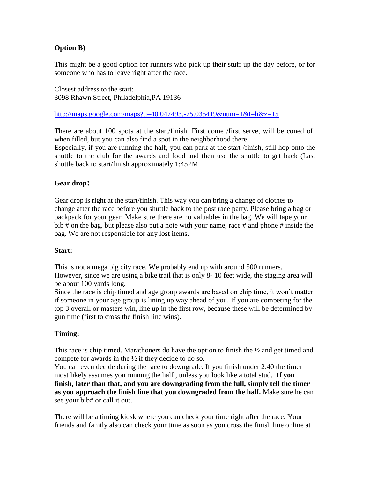## **Option B)**

This might be a good option for runners who pick up their stuff up the day before, or for someone who has to leave right after the race.

Closest address to the start: 3098 Rhawn Street, Philadelphia,PA 19136

<http://maps.google.com/maps?q=40.047493,-75.035419&num=1&t=h&z=15>

There are about 100 spots at the start/finish. First come /first serve, will be coned off when filled, but you can also find a spot in the neighborhood there.

Especially, if you are running the half, you can park at the start /finish, still hop onto the shuttle to the club for the awards and food and then use the shuttle to get back (Last shuttle back to start/finish approximately 1:45PM

## **Gear drop:**

Gear drop is right at the start/finish. This way you can bring a change of clothes to change after the race before you shuttle back to the post race party. Please bring a bag or backpack for your gear. Make sure there are no valuables in the bag. We will tape your bib # on the bag, but please also put a note with your name, race # and phone # inside the bag. We are not responsible for any lost items.

#### **Start:**

This is not a mega big city race. We probably end up with around 500 runners.

However, since we are using a bike trail that is only 8- 10 feet wide, the staging area will be about 100 yards long.

Since the race is chip timed and age group awards are based on chip time, it won't matter if someone in your age group is lining up way ahead of you. If you are competing for the top 3 overall or masters win, line up in the first row, because these will be determined by gun time (first to cross the finish line wins).

## **Timing:**

This race is chip timed. Marathoners do have the option to finish the  $\frac{1}{2}$  and get timed and compete for awards in the  $\frac{1}{2}$  if they decide to do so.

You can even decide during the race to downgrade. If you finish under 2:40 the timer most likely assumes you running the half , unless you look like a total stud. **If you finish, later than that, and you are downgrading from the full, simply tell the timer as you approach the finish line that you downgraded from the half.** Make sure he can see your bib# or call it out.

There will be a timing kiosk where you can check your time right after the race. Your friends and family also can check your time as soon as you cross the finish line online at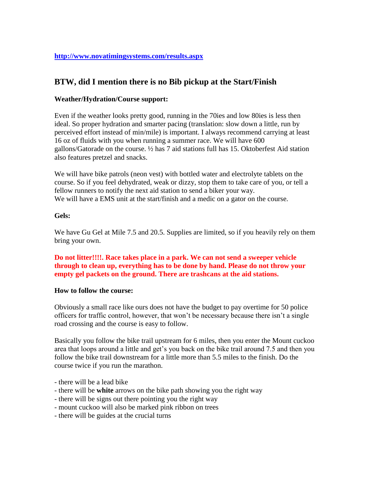## **<http://www.novatimingsystems.com/results.aspx>**

## **BTW, did I mention there is no Bib pickup at the Start/Finish**

#### **Weather/Hydration/Course support:**

Even if the weather looks pretty good, running in the 70ies and low 80ies is less then ideal. So proper hydration and smarter pacing (translation: slow down a little, run by perceived effort instead of min/mile) is important. I always recommend carrying at least 16 oz of fluids with you when running a summer race. We will have 600 gallons/Gatorade on the course. ½ has 7 aid stations full has 15. Oktoberfest Aid station also features pretzel and snacks.

We will have bike patrols (neon vest) with bottled water and electrolyte tablets on the course. So if you feel dehydrated, weak or dizzy, stop them to take care of you, or tell a fellow runners to notify the next aid station to send a biker your way. We will have a EMS unit at the start/finish and a medic on a gator on the course.

#### **Gels:**

We have Gu Gel at Mile 7.5 and 20.5. Supplies are limited, so if you heavily rely on them bring your own.

**Do not litter!!!!. Race takes place in a park. We can not send a sweeper vehicle through to clean up, everything has to be done by hand. Please do not throw your empty gel packets on the ground. There are trashcans at the aid stations.**

#### **How to follow the course:**

Obviously a small race like ours does not have the budget to pay overtime for 50 police officers for traffic control, however, that won't be necessary because there isn't a single road crossing and the course is easy to follow.

Basically you follow the bike trail upstream for 6 miles, then you enter the Mount cuckoo area that loops around a little and get's you back on the bike trail around 7.5 and then you follow the bike trail downstream for a little more than 5.5 miles to the finish. Do the course twice if you run the marathon.

- there will be a lead bike
- there will be **white** arrows on the bike path showing you the right way
- there will be signs out there pointing you the right way
- mount cuckoo will also be marked pink ribbon on trees
- there will be guides at the crucial turns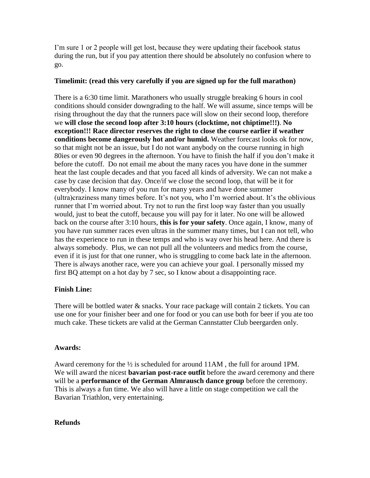I'm sure 1 or 2 people will get lost, because they were updating their facebook status during the run, but if you pay attention there should be absolutely no confusion where to go.

## **Timelimit: (read this very carefully if you are signed up for the full marathon)**

There is a 6:30 time limit. Marathoners who usually struggle breaking 6 hours in cool conditions should consider downgrading to the half. We will assume, since temps will be rising throughout the day that the runners pace will slow on their second loop, therefore we **will close the second loop after 3:10 hours (clocktime, not chiptime!!!)**. **No exception!!! Race director reserves the right to close the course earlier if weather conditions become dangerously hot and/or humid.** Weather forecast looks ok for now, so that might not be an issue, but I do not want anybody on the course running in high 80ies or even 90 degrees in the afternoon. You have to finish the half if you don't make it before the cutoff. Do not email me about the many races you have done in the summer heat the last couple decades and that you faced all kinds of adversity. We can not make a case by case decision that day. Once/if we close the second loop, that will be it for everybody. I know many of you run for many years and have done summer (ultra)craziness many times before. It's not you, who I'm worried about. It's the oblivious runner that I'm worried about. Try not to run the first loop way faster than you usually would, just to beat the cutoff, because you will pay for it later. No one will be allowed back on the course after 3:10 hours, **this is for your safety**. Once again, I know, many of you have run summer races even ultras in the summer many times, but I can not tell, who has the experience to run in these temps and who is way over his head here. And there is always somebody. Plus, we can not pull all the volunteers and medics from the course, even if it is just for that one runner, who is struggling to come back late in the afternoon. There is always another race, were you can achieve your goal. I personally missed my first BQ attempt on a hot day by 7 sec, so I know about a disappointing race.

## **Finish Line:**

There will be bottled water  $\&$  snacks. Your race package will contain 2 tickets. You can use one for your finisher beer and one for food or you can use both for beer if you ate too much cake. These tickets are valid at the German Cannstatter Club beergarden only.

## **Awards:**

Award ceremony for the  $\frac{1}{2}$  is scheduled for around 11AM, the full for around 1PM. We will award the nicest **bavarian post-race outfit** before the award ceremony and there will be a **performance of the German Almrausch dance group** before the ceremony. This is always a fun time. We also will have a little on stage competition we call the Bavarian Triathlon, very entertaining.

## **Refunds**